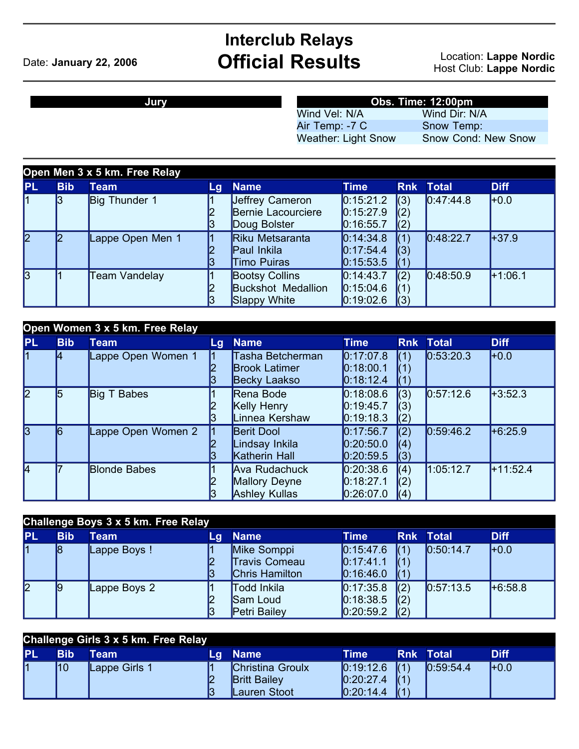## **Interclub Relays** Date: **January 22, 2006 Official Results** Location: **Lappe Nordic**

Host Club: **Lappe Nordic**

## **Jury Obs. Time: 12:00pm**

Wind Vel: N/A Wind Dir: N/A<br>Air Temp: -7 C Snow Temp: Air Temp: -7 C<br>Weather: Light Snow

Snow Cond: New Snow

| Open Men 3 x 5 km. Free Relay |            |                  |    |                                                                    |                                                                 |                               |              |             |  |
|-------------------------------|------------|------------------|----|--------------------------------------------------------------------|-----------------------------------------------------------------|-------------------------------|--------------|-------------|--|
| <b>PL</b>                     | <b>Bib</b> | <b>Team</b>      | Lg | <b>Name</b>                                                        | <b>Time</b>                                                     | <b>Rnk</b>                    | <b>Total</b> | <b>Diff</b> |  |
| l1                            |            | Big Thunder 1    | 3  | Jeffrey Cameron<br>Bernie Lacourciere<br>Doug Bolster              | 0:15:21.2<br>0:15:27.9<br>0:16:55.7                             | (3)<br>(2)<br>(2)             | 0.47:44.8    | $H + 0.0$   |  |
| 2                             |            | Lappe Open Men 1 | 13 | Riku Metsaranta<br>Paul Inkila<br><b>Timo Puiras</b>               | $\vert 0.14.34.8 \vert$<br>0:17:54.4<br>$\vert 0:15:53.5 \vert$ | (1)<br>(3)<br>$\mathsf{I}(1)$ | 0:48:22.7    | $+37.9$     |  |
| 3                             |            | Team Vandelay    | 13 | <b>Bootsy Collins</b><br><b>Buckshot Medallion</b><br>Slappy White | $\vert 0.14.43.7 \vert$<br>0:15:04.6<br>0:19:02.6               | (2)<br>$\mathbf{I}(3)$        | 0.48:50.9    | $+1:06.1$   |  |

|                | Open Women 3 x 5 km. Free Relay |                     |     |                                                          |                                                                               |                   |                  |             |  |  |
|----------------|---------------------------------|---------------------|-----|----------------------------------------------------------|-------------------------------------------------------------------------------|-------------------|------------------|-------------|--|--|
| <b>PL</b>      | <b>Bib</b>                      | <b>Team</b>         | Lg. | <b>Name</b>                                              | <b>Time</b>                                                                   |                   | <b>Rnk Total</b> | <b>Diff</b> |  |  |
| 11             |                                 | Lappe Open Women 1  |     | Tasha Betcherman<br><b>Brook Latimer</b><br>Becky Laakso | $\vert 0:17:07.8 \vert$<br>$\vert 0:18:00.1 \vert$<br>$\vert 0:18:12.4 \vert$ | (1)<br>(1)<br>(1) | 0:53:20.3        | $H$ +0.0    |  |  |
| $\overline{2}$ | l5                              | Big T Babes         |     | Rena Bode<br>Kelly Henry<br>Linnea Kershaw               | 0:18:08.6<br>$\vert 0:19:45.7$<br>$\vert 0:19:18.3 \vert$                     | (3)<br>(3)<br>(2) | 0:57:12.6        | $+3:52.3$   |  |  |
| $\overline{3}$ | 6                               | Lappe Open Women 2  |     | <b>Berit Dool</b><br>Lindsay Inkila<br>Katherin Hall     | $\vert 0:17:56.7$<br>$\vert 0.20.50.0 \vert$<br> 0:20:59.5                    | (2)<br>(4)<br>(3) | 0:59:46.2        | $+6.25.9$   |  |  |
| 4              |                                 | <b>Blonde Babes</b> |     | Ava Rudachuck<br>Mallory Deyne<br><b>Ashley Kullas</b>   | $\vert 0.20.38.6 \vert$<br>$\vert 0:18:27.1$<br>0:26:07.0                     | (4)<br>(2)<br>(4) | 1:05:12.7        | $+11:52.4$  |  |  |

| Challenge Boys 3 x 5 km. Free Relay |            |              |    |                      |                         |                 |              |             |  |
|-------------------------------------|------------|--------------|----|----------------------|-------------------------|-----------------|--------------|-------------|--|
| <b>PL</b>                           | <b>Bib</b> | Team         | Lq | Name                 | Time                    | <b>Rnk</b>      | <b>Total</b> | <b>Diff</b> |  |
|                                     | 18         | Lappe Boys!  |    | Mike Somppi          | 0:15:47.6               | $\mathsf{I}(1)$ | 0:50:14.7    | $H_0$       |  |
|                                     |            |              |    | <b>Travis Comeau</b> | [0:17:41.1]             |                 |              |             |  |
|                                     |            |              | 3  | Chris Hamilton       | 0.16:46.0               |                 |              |             |  |
| 2                                   | 19         | Lappe Boys 2 |    | <b>Todd Inkila</b>   | $\vert 0:17:35.8 \vert$ | (2)             | 0.57:13.5    | $+6.58.8$   |  |
|                                     |            |              |    | Sam Loud             | 0:18:38.5               | (2)             |              |             |  |
|                                     |            |              | 13 | Petri Bailey         | 0:20:59.2               |                 |              |             |  |

| <b>Challenge Girls 3 x 5 km. Free Relay</b> |     |               |     |                                         |                                      |                  |                         |             |  |
|---------------------------------------------|-----|---------------|-----|-----------------------------------------|--------------------------------------|------------------|-------------------------|-------------|--|
| <b>PL</b>                                   | Bib | Team          | Lai | <b>Name</b>                             | Time                                 |                  | <b>Rnk Total</b>        | <b>Diff</b> |  |
| l1                                          | 10  | Lappe Girls 1 |     | Christina Groulx<br><b>Britt Bailey</b> | $\vert 0:19:12.6 \vert$<br>0:20:27.4 | $\mathsf{I}$ (1) | $\big  0.59.54.4 \big $ | $H + 0.0$   |  |
|                                             |     |               | l3  | Lauren Stoot                            | 0:20:14.4                            | 1/4              |                         |             |  |